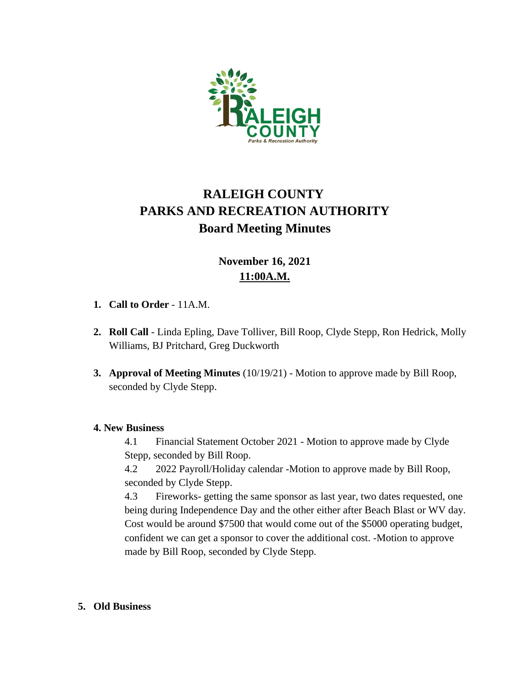

# **RALEIGH COUNTY PARKS AND RECREATION AUTHORITY Board Meeting Minutes**

## **November 16, 2021 11:00A.M.**

- **1. Call to Order** 11A.M.
- **2. Roll Call** Linda Epling, Dave Tolliver, Bill Roop, Clyde Stepp, Ron Hedrick, Molly Williams, BJ Pritchard, Greg Duckworth
- **3. Approval of Meeting Minutes** (10/19/21) Motion to approve made by Bill Roop, seconded by Clyde Stepp.

#### **4. New Business**

4.1 Financial Statement October 2021 - Motion to approve made by Clyde Stepp, seconded by Bill Roop.

4.2 2022 Payroll/Holiday calendar -Motion to approve made by Bill Roop, seconded by Clyde Stepp.

4.3 Fireworks- getting the same sponsor as last year, two dates requested, one being during Independence Day and the other either after Beach Blast or WV day. Cost would be around \$7500 that would come out of the \$5000 operating budget, confident we can get a sponsor to cover the additional cost. -Motion to approve made by Bill Roop, seconded by Clyde Stepp.

#### **5. Old Business**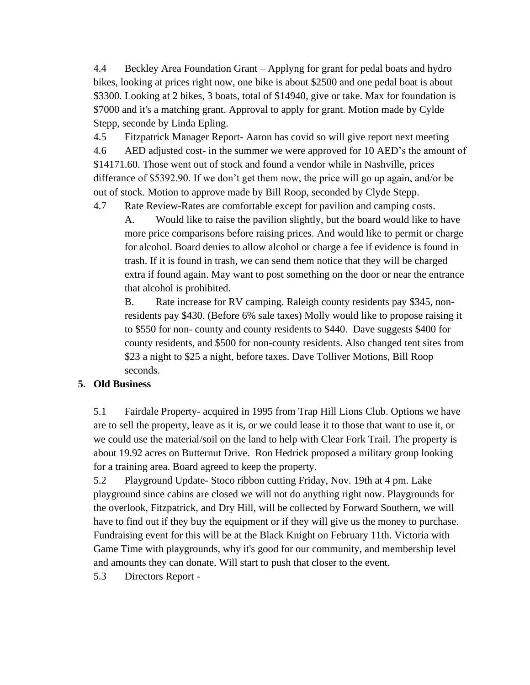4.4 Beckley Area Foundation Grant – Applyng for grant for pedal boats and hydro bikes, looking at prices right now, one bike is about \$2500 and one pedal boat is about \$3300. Looking at 2 bikes, 3 boats, total of \$14940, give or take. Max for foundation is \$7000 and it's a matching grant. Approval to apply for grant. Motion made by Cylde Stepp, seconde by Linda Epling.

4.5 Fitzpatrick Manager Report- Aaron has covid so will give report next meeting 4.6 AED adjusted cost- in the summer we were approved for 10 AED's the amount of \$14171.60. Those went out of stock and found a vendor while in Nashville, prices differance of \$5392.90. If we don't get them now, the price will go up again, and/or be out of stock. Motion to approve made by Bill Roop, seconded by Clyde Stepp.

4.7 Rate Review-Rates are comfortable except for pavilion and camping costs.

A. Would like to raise the pavilion slightly, but the board would like to have more price comparisons before raising prices. And would like to permit or charge for alcohol. Board denies to allow alcohol or charge a fee if evidence is found in trash. If it is found in trash, we can send them notice that they will be charged extra if found again. May want to post something on the door or near the entrance that alcohol is prohibited.

B. Rate increase for RV camping. Raleigh county residents pay \$345, nonresidents pay \$430. (Before 6% sale taxes) Molly would like to propose raising it to \$550 for non- county and county residents to \$440. Dave suggests \$400 for county residents, and \$500 for non-county residents. Also changed tent sites from \$23 a night to \$25 a night, before taxes. Dave Tolliver Motions, Bill Roop seconds.

#### **5. Old Business**

5.1 Fairdale Property- acquired in 1995 from Trap Hill Lions Club. Options we have are to sell the property, leave as it is, or we could lease it to those that want to use it, or we could use the material/soil on the land to help with Clear Fork Trail. The property is about 19.92 acres on Butternut Drive. Ron Hedrick proposed a military group looking for a training area. Board agreed to keep the property.

5.2 Playground Update- Stoco ribbon cutting Friday, Nov. 19th at 4 pm. Lake playground since cabins are closed we will not do anything right now. Playgrounds for the overlook, Fitzpatrick, and Dry Hill, will be collected by Forward Southern, we will have to find out if they buy the equipment or if they will give us the money to purchase. Fundraising event for this will be at the Black Knight on February 11th. Victoria with Game Time with playgrounds, why it's good for our community, and membership level and amounts they can donate. Will start to push that closer to the event.

5.3 Directors Report -